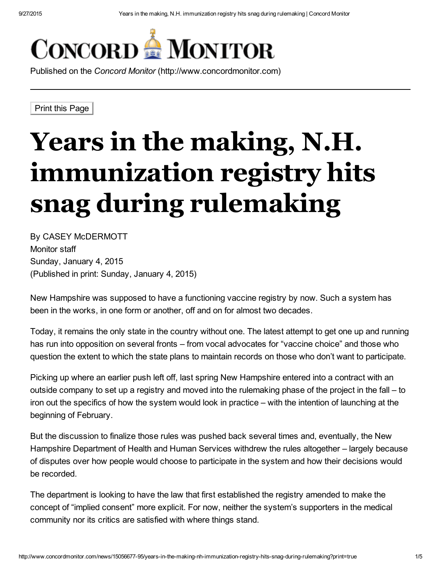

Published on the *Concord Monitor* (http://www.concordmonitor.com)

Print this Page

## Years in the making, N.H. immunization registry hits snag during rulemaking

By CASEY McDERMOTT Monitor staff Sunday, January 4, 2015 (Published in print: Sunday, January 4, 2015)

New Hampshire was supposed to have a functioning vaccine registry by now. Such a system has been in the works, in one form or another, off and on for almost two decades.

Today, it remains the only state in the country without one. The latest attempt to get one up and running has run into opposition on several fronts – from vocal advocates for "vaccine choice" and those who question the extent to which the state plans to maintain records on those who don't want to participate.

Picking up where an earlier push left off, last spring New Hampshire entered into a contract with an outside company to set up a registry and moved into the rulemaking phase of the project in the fall – to iron out the specifics of how the system would look in practice – with the intention of launching at the beginning of February.

But the discussion to finalize those rules was pushed back several times and, eventually, the New Hampshire Department of Health and Human Services withdrew the rules altogether – largely because of disputes over how people would choose to participate in the system and how their decisions would be recorded.

The department is looking to have the law that first established the registry amended to make the concept of "implied consent" more explicit. For now, neither the system's supporters in the medical community nor its critics are satisfied with where things stand.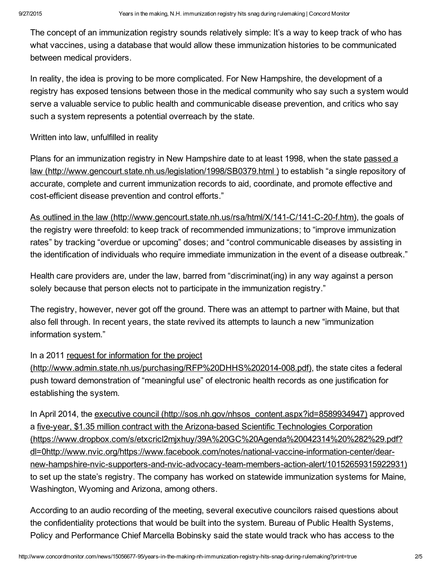The concept of an immunization registry sounds relatively simple: It's a way to keep track of who has what vaccines, using a database that would allow these immunization histories to be communicated between medical providers.

In reality, the idea is proving to be more complicated. For New Hampshire, the development of a registry has exposed tensions between those in the medical community who say such a system would serve a valuable service to public health and communicable disease prevention, and critics who say such a system represents a potential overreach by the state.

Written into law, unfulfilled in reality

Plans for an immunization registry in New Hampshire date to at least 1998, when the state passed a law [\(http://www.gencourt.state.nh.us/legislation/1998/SB0379.html](http://www.gencourt.state.nh.us/legislation/1998/SB0379.html) ) to establish "a single repository of accurate, complete and current immunization records to aid, coordinate, and promote effective and cost-efficient disease prevention and control efforts."

As outlined in the law (http://www.gencourt.state.nh.us/rsa/html/X/141-C/141-C-20-f.htm), the goals of the registry were threefold: to keep track of recommended immunizations; to "improve immunization rates" by tracking "overdue or upcoming" doses; and "control communicable diseases by assisting in the identification of individuals who require immediate immunization in the event of a disease outbreak."

Health care providers are, under the law, barred from "discriminat(ing) in any way against a person solely because that person elects not to participate in the immunization registry."

The registry, however, never got off the ground. There was an attempt to partner with Maine, but that also fell through. In recent years, the state revived its attempts to launch a new "immunization information system."

## In a 2011 request for information for the project

(http://www.admin.state.nh.us/purchasing/RFP%20DHHS%202014-008.pdf), the state cites a federal push toward demonstration of "meaningful use" of electronic health records as one justification for establishing the system.

In April 2014, the executive council [\(http://sos.nh.gov/nhsos\\_content.aspx?id=8589934947\)](http://sos.nh.gov/nhsos_content.aspx?id=8589934947) approved a five-year, \$1.35 million contract with the Arizona-based Scientific Technologies Corporation (https://www.dropbox.com/s/etxcricl2mjxhuy/39A%20GC%20Agenda%20042314%20%282%29.pdf? dl=0http://www.nvic.org/https://www.facebook.com/notes/national-vaccine-information-center/dearnew-hampshire-nvic-supporters-and-nvic-advocacy-team-members-action-alert/10152659315922931) to set up the state's registry. The company has worked on statewide immunization systems for Maine, Washington, Wyoming and Arizona, among others.

According to an audio recording of the meeting, several executive councilors raised questions about the confidentiality protections that would be built into the system. Bureau of Public Health Systems, Policy and Performance Chief Marcella Bobinsky said the state would track who has access to the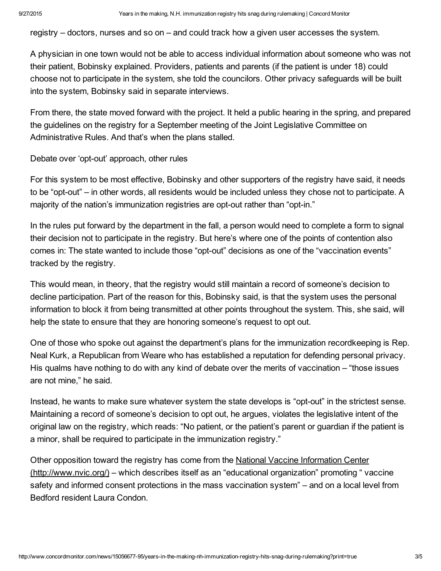registry – doctors, nurses and so on – and could track how a given user accesses the system.

A physician in one town would not be able to access individual information about someone who was not their patient, Bobinsky explained. Providers, patients and parents (if the patient is under 18) could choose not to participate in the system, she told the councilors. Other privacy safeguards will be built into the system, Bobinsky said in separate interviews.

From there, the state moved forward with the project. It held a public hearing in the spring, and prepared the guidelines on the registry for a September meeting of the Joint Legislative Committee on Administrative Rules. And that's when the plans stalled.

Debate over 'opt-out' approach, other rules

For this system to be most effective, Bobinsky and other supporters of the registry have said, it needs to be "opt-out" – in other words, all residents would be included unless they chose not to participate. A majority of the nation's immunization registries are opt-out rather than "opt-in."

In the rules put forward by the department in the fall, a person would need to complete a form to signal their decision not to participate in the registry. But here's where one of the points of contention also comes in: The state wanted to include those "opt-out" decisions as one of the "vaccination events" tracked by the registry.

This would mean, in theory, that the registry would still maintain a record of someone's decision to decline participation. Part of the reason for this, Bobinsky said, is that the system uses the personal information to block it from being transmitted at other points throughout the system. This, she said, will help the state to ensure that they are honoring someone's request to opt out.

One of those who spoke out against the department's plans for the immunization recordkeeping is Rep. Neal Kurk, a Republican from Weare who has established a reputation for defending personal privacy. His qualms have nothing to do with any kind of debate over the merits of vaccination – "those issues are not mine," he said.

Instead, he wants to make sure whatever system the state develops is "opt-out" in the strictest sense. Maintaining a record of someone's decision to opt out, he argues, violates the legislative intent of the original law on the registry, which reads: "No patient, or the patient's parent or guardian if the patient is a minor, shall be required to participate in the immunization registry."

Other opposition toward the registry has come from the National Vaccine Information Center [\(http://www.nvic.org/\)](http://www.nvic.org/) – which describes itself as an "educational organization" promoting " vaccine safety and informed consent protections in the mass vaccination system" – and on a local level from Bedford resident Laura Condon.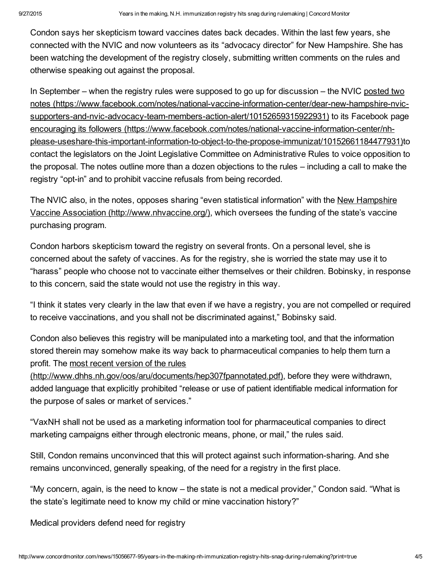Condon says her skepticism toward vaccines dates back decades. Within the last few years, she connected with the NVIC and now volunteers as its "advocacy director" for New Hampshire. She has been watching the development of the registry closely, submitting written comments on the rules and otherwise speaking out against the proposal.

In September – when the registry rules were supposed to go up for discussion – the NVIC posted two notes (https://www.facebook.com/notes/national-vaccine-information-center/dear-new-hampshire-nvicsupporters-and-nvic-advocacy-team-members-action-alert/10152659315922931) to its Facebook page encouraging its followers (https://www.facebook.com/notes/national-vaccine-information-center/nhplease-useshare-this-important-information-to-object-to-the-propose-immunizat/10152661184477931)to contact the legislators on the Joint Legislative Committee on Administrative Rules to voice opposition to the proposal. The notes outline more than a dozen objections to the rules – including a call to make the registry "opt-in" and to prohibit vaccine refusals from being recorded.

The NVIC also, in the notes, opposes sharing "even statistical information" with the New Hampshire Vaccine Association [\(http://www.nhvaccine.org/\),](http://www.nhvaccine.org/) which oversees the funding of the state's vaccine purchasing program.

Condon harbors skepticism toward the registry on several fronts. On a personal level, she is concerned about the safety of vaccines. As for the registry, she is worried the state may use it to "harass" people who choose not to vaccinate either themselves or their children. Bobinsky, in response to this concern, said the state would not use the registry in this way.

"I think it states very clearly in the law that even if we have a registry, you are not compelled or required to receive vaccinations, and you shall not be discriminated against," Bobinsky said.

Condon also believes this registry will be manipulated into a marketing tool, and that the information stored therein may somehow make its way back to pharmaceutical companies to help them turn a profit. The most recent version of the rules

[\(http://www.dhhs.nh.gov/oos/aru/documents/hep307fpannotated.pdf\),](http://www.dhhs.nh.gov/oos/aru/documents/hep307fpannotated.pdf) before they were withdrawn, added language that explicitly prohibited "release or use of patient identifiable medical information for the purpose of sales or market of services."

"VaxNH shall not be used as a marketing information tool for pharmaceutical companies to direct marketing campaigns either through electronic means, phone, or mail," the rules said.

Still, Condon remains unconvinced that this will protect against such information-sharing. And she remains unconvinced, generally speaking, of the need for a registry in the first place.

"My concern, again, is the need to know – the state is not a medical provider," Condon said. "What is the state's legitimate need to know my child or mine vaccination history?"

Medical providers defend need for registry